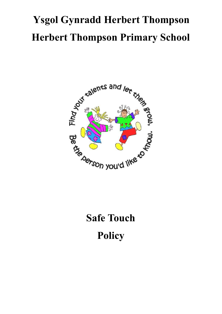## **Ysgol Gynradd Herbert Thompson Herbert Thompson Primary School**



# **Safe Touch Policy**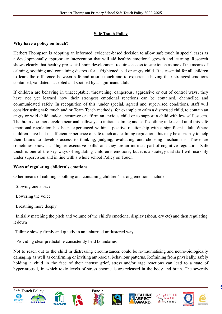### **Safe Touch Policy**

### **Why have a policy on touch?**

Herbert Thompson is adopting an informed, evidence-based decision to allow safe touch in special cases as a developmentally appropriate intervention that will aid healthy emotional growth and learning. Research shows clearly that healthy pro-social brain development requires access to safe touch as one of the means of calming, soothing and containing distress for a frightened, sad or angry child. It is essential for all children to learn the difference between safe and unsafe touch and to experience having their strongest emotions contained, validated, accepted and soothed by a significant adult.

If children are behaving in unacceptable, threatening, dangerous, aggressive or out of control ways, they have not yet learned how their strongest emotional reactions can be contained, channelled and communicated safely. In recognition of this, under special, agreed and supervised conditions, staff will consider using safe touch and or Team Teach methods, for example to calm a distressed child, to contain an angry or wild child and/or encourage or affirm an anxious child or to support a child with low self-esteem. The brain does not develop neuronal pathways to initiate calming and self-soothing unless and until this safe emotional regulation has been experienced within a positive relationship with a significant adult. Where children have had insufficient experience of safe touch and calming regulation, this may be a priority to help their brains to develop access to thinking, judging, evaluating and choosing mechanisms. These are sometimes known as 'higher executive skills' and they are an intrinsic part of cognitive regulation. Safe touch is one of the key ways of regulating children's emotions, but it is a strategy that staff will use only under supervision and in line with a whole school Policy on Touch.

### **Ways of regulating children's emotions**

Other means of calming, soothing and containing children's strong emotions include:

- ∙ Slowing one's pace
- ∙ Lowering the voice
- ∙ Breathing more deeply

∙ Initially matching the pitch and volume of the child's emotional display (shout, cry etc) and then regulating it down

- ∙ Talking slowly firmly and quietly in an unhurried unflustered way
- ∙ Providing clear predictable consistently held boundaries

Not to reach out to the child in distressing circumstances could be re-traumatising and neuro-biologically damaging as well as confirming or inviting anti-social behaviour patterns. Refraining from physically, safely holding a child in the face of their intense grief, stress and/or rage reactions can lead to a state of hyper-arousal, in which toxic levels of stress chemicals are released in the body and brain. The severely













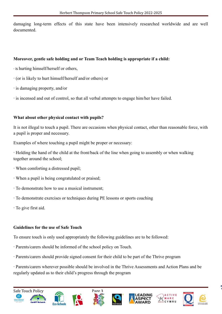damaging long-term effects of this state have been intensively researched worldwide and are well documented.

#### **Moreover, gentle safe holding and or Team Teach holding is appropriate if a child:**

- ∙ is hurting himself/herself or others,
- ∙ (or is likely to hurt himself/herself and/or others) or
- ∙ is damaging property, and/or
- ∙ is incensed and out of control, so that all verbal attempts to engage him/her have failed.

#### **What about other physical contact with pupils?**

It is not illegal to touch a pupil. There are occasions when physical contact, other than reasonable force, with a pupil is proper and necessary.

Examples of where touching a pupil might be proper or necessary:

∙ Holding the hand of the child at the front/back of the line when going to assembly or when walking together around the school;

- ∙ When comforting a distressed pupil;
- ∙ When a pupil is being congratulated or praised;
- ∙ To demonstrate how to use a musical instrument;
- ∙ To demonstrate exercises or techniques during PE lessons or sports coaching
- ∙ To give first aid.

### **Guidelines for the use of Safe Touch**

To ensure touch is only used appropriately the following guidelines are to be followed:

- ∙ Parents/carers should be informed of the school policy on Touch.
- ∙ Parents/carers should provide signed consent for their child to be part of the Thrive program

∙ Parents/carers wherever possible should be involved in the Thrive Assessments and Action Plans and be regularly updated as to their child's progress through the program















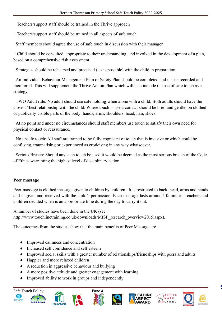- ∙ Teachers/support staff should be trained in the Thrive approach
- ∙ Teachers/support staff should be trained in all aspects of safe touch
- ∙ Staff members should agree the use of safe touch in discussion with their manager.

∙ Child should be consulted, appropriate to their understanding, and involved in the development of a plan, based on a comprehensive risk assessment.

∙ Strategies should be rehearsed and practised ( as is possible) with the child in preparation.

∙ An Individual Behaviour Management Plan or Safety Plan should be completed and its use recorded and monitored. This will supplement the Thrive Action Plan which will also include the use of safe touch as a strategy.

∙ TWO Adult rule: No adult should use safe holding when alone with a child. Both adults should have the closest / best relationship with the child. Where touch is used, contact should be brief and gentle, on clothed or publically visible parts of the body: hands, arms, shoulders, head, hair, shoes.

∙ At no point and under no circumstances should staff members use touch to satisfy their own need for physical contact or reassurance.

∙ No unsafe touch: All staff are trained to be fully cognisant of touch that is invasive or which could be confusing, traumatising or experienced as eroticising in any way whatsoever.

∙ Serious Breach: Should any such touch be used it would be deemed as the most serious breach of the Code of Ethics warranting the highest level of disciplinary action.

### **Peer massage**

Peer massage is clothed massage given to children by children. It is restricted to back, head, arms and hands and is given and received with the child's permission. Each massage lasts around 1 0minutes. Teachers and children decided when is an appropriate time during the day to carry it out.

A number of studies have been done in the UK (see http://www.touchlinetraining.co.uk/downloads/MISP\_research\_overview2015.aspx).

The outcomes from the studies show that the main benefits of Peer Massage are.

- Improved calmness and concentration
- Increased self confidence and self esteem
- Improved social skills with a greater number of relationships/friendships with peers and adults
- Happier and more relaxed children
- A reduction in aggressive behaviour and bullying
- A more positive attitude and greater engagement with learning
- Improved ability to work in groups and independently